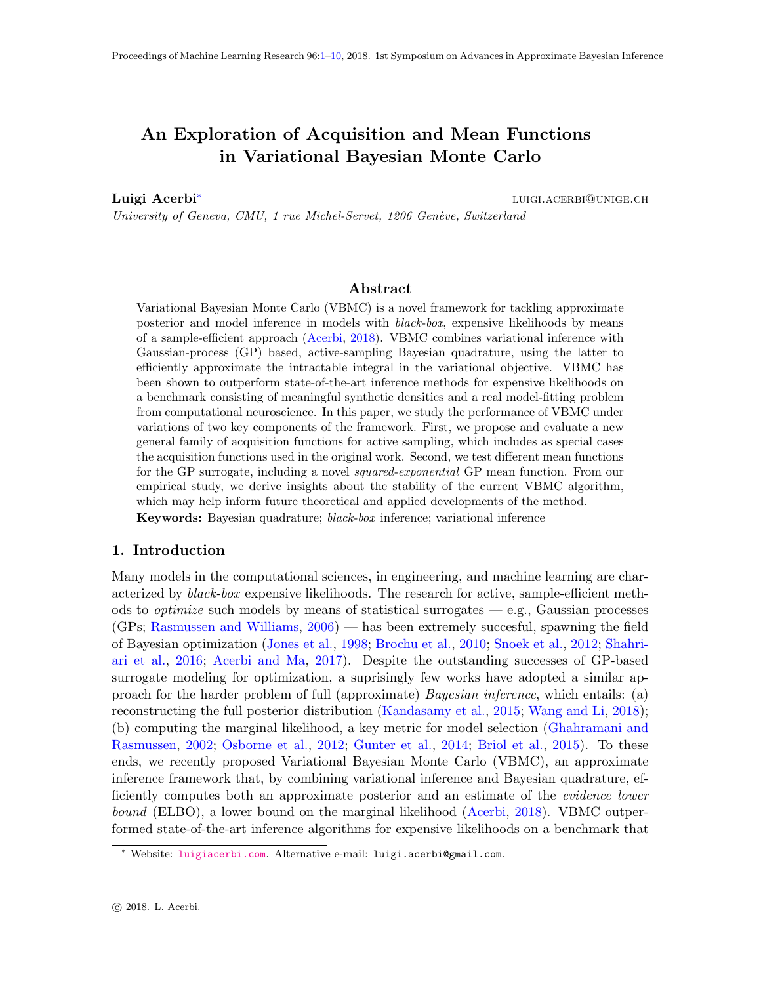# <span id="page-0-0"></span>An Exploration of Acquisition and Mean Functions in Variational Bayesian Monte Carlo

Luigi Acerbi<sup>∗</sup>

luigi.acerbi@unige.ch

University of Geneva, CMU, 1 rue Michel-Servet, 1206 Genève, Switzerland

# Abstract

Variational Bayesian Monte Carlo (VBMC) is a novel framework for tackling approximate posterior and model inference in models with black-box, expensive likelihoods by means of a sample-efficient approach [\(Acerbi,](#page-7-0) [2018\)](#page-7-0). VBMC combines variational inference with Gaussian-process (GP) based, active-sampling Bayesian quadrature, using the latter to efficiently approximate the intractable integral in the variational objective. VBMC has been shown to outperform state-of-the-art inference methods for expensive likelihoods on a benchmark consisting of meaningful synthetic densities and a real model-fitting problem from computational neuroscience. In this paper, we study the performance of VBMC under variations of two key components of the framework. First, we propose and evaluate a new general family of acquisition functions for active sampling, which includes as special cases the acquisition functions used in the original work. Second, we test different mean functions for the GP surrogate, including a novel *squared-exponential* GP mean function. From our empirical study, we derive insights about the stability of the current VBMC algorithm, which may help inform future theoretical and applied developments of the method. Keywords: Bayesian quadrature; black-box inference; variational inference

## 1. Introduction

Many models in the computational sciences, in engineering, and machine learning are characterized by black-box expensive likelihoods. The research for active, sample-efficient methods to *optimize* such models by means of statistical surrogates  $-e.g.,$  Gaussian processes (GPs; [Rasmussen and Williams,](#page-8-0) [2006\)](#page-8-0) — has been extremely succesful, spawning the field of Bayesian optimization [\(Jones et al.,](#page-7-1) [1998;](#page-7-1) [Brochu et al.,](#page-7-2) [2010;](#page-7-2) [Snoek et al.,](#page-8-1) [2012;](#page-8-1) [Shahri](#page-8-2)[ari et al.,](#page-8-2) [2016;](#page-8-2) [Acerbi and Ma,](#page-7-3) [2017\)](#page-7-3). Despite the outstanding successes of GP-based surrogate modeling for optimization, a suprisingly few works have adopted a similar approach for the harder problem of full (approximate) Bayesian inference, which entails: (a) reconstructing the full posterior distribution [\(Kandasamy et al.,](#page-7-4) [2015;](#page-7-4) [Wang and Li,](#page-8-3) [2018\)](#page-8-3); (b) computing the marginal likelihood, a key metric for model selection [\(Ghahramani and](#page-7-5) [Rasmussen,](#page-7-5) [2002;](#page-7-5) [Osborne et al.,](#page-8-4) [2012;](#page-8-4) [Gunter et al.,](#page-7-6) [2014;](#page-7-6) [Briol et al.,](#page-7-7) [2015\)](#page-7-7). To these ends, we recently proposed Variational Bayesian Monte Carlo (VBMC), an approximate inference framework that, by combining variational inference and Bayesian quadrature, efficiently computes both an approximate posterior and an estimate of the evidence lower bound (ELBO), a lower bound on the marginal likelihood [\(Acerbi,](#page-7-0) [2018\)](#page-7-0). VBMC outperformed state-of-the-art inference algorithms for expensive likelihoods on a benchmark that

<sup>∗</sup> Website: <luigiacerbi.com>. Alternative e-mail: luigi.acerbi@gmail.com.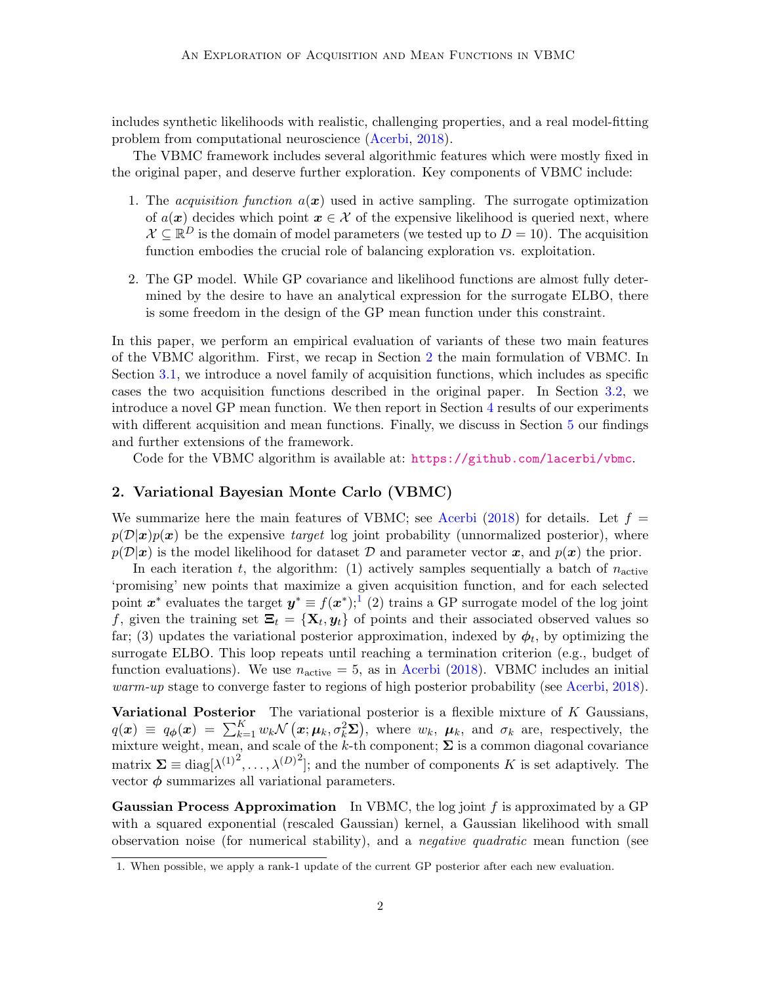includes synthetic likelihoods with realistic, challenging properties, and a real model-fitting problem from computational neuroscience [\(Acerbi,](#page-7-0) [2018\)](#page-7-0).

The VBMC framework includes several algorithmic features which were mostly fixed in the original paper, and deserve further exploration. Key components of VBMC include:

- 1. The *acquisition function*  $a(x)$  used in active sampling. The surrogate optimization of  $a(x)$  decides which point  $x \in \mathcal{X}$  of the expensive likelihood is queried next, where  $\mathcal{X} \subseteq \mathbb{R}^D$  is the domain of model parameters (we tested up to  $D = 10$ ). The acquisition function embodies the crucial role of balancing exploration vs. exploitation.
- 2. The GP model. While GP covariance and likelihood functions are almost fully determined by the desire to have an analytical expression for the surrogate ELBO, there is some freedom in the design of the GP mean function under this constraint.

In this paper, we perform an empirical evaluation of variants of these two main features of the VBMC algorithm. First, we recap in Section [2](#page-1-0) the main formulation of VBMC. In Section [3.1,](#page-2-0) we introduce a novel family of acquisition functions, which includes as specific cases the two acquisition functions described in the original paper. In Section [3.2,](#page-3-0) we introduce a novel GP mean function. We then report in Section [4](#page-3-1) results of our experiments with different acquisition and mean functions. Finally, we discuss in Section [5](#page-6-0) our findings and further extensions of the framework.

Code for the VBMC algorithm is available at: <https://github.com/lacerbi/vbmc>.

## <span id="page-1-0"></span>2. Variational Bayesian Monte Carlo (VBMC)

We summarize here the main features of VBMC; see [Acerbi](#page-7-0) [\(2018\)](#page-7-0) for details. Let  $f =$  $p(\mathcal{D}|x)p(x)$  be the expensive *target* log joint probability (unnormalized posterior), where  $p(\mathcal{D}|\mathbf{x})$  is the model likelihood for dataset  $\mathcal D$  and parameter vector  $\mathbf x$ , and  $p(\mathbf x)$  the prior.

In each iteration t, the algorithm: (1) actively samples sequentially a batch of  $n_{\text{active}}$ 'promising' new points that maximize a given acquisition function, and for each selected point  $x^*$  evaluates the target  $y^* \equiv f(x^*)$ ;<sup>[1](#page-1-1)</sup> (2) trains a GP surrogate model of the log joint f, given the training set  $\Xi_t = {\mathbf{X}_t, y_t}$  of points and their associated observed values so far; (3) updates the variational posterior approximation, indexed by  $\phi_t$ , by optimizing the surrogate ELBO. This loop repeats until reaching a termination criterion (e.g., budget of function evaluations). We use  $n_{\text{active}} = 5$ , as in [Acerbi](#page-7-0) [\(2018\)](#page-7-0). VBMC includes an initial warm-up stage to converge faster to regions of high posterior probability (see [Acerbi,](#page-7-0) [2018\)](#page-7-0).

**Variational Posterior** The variational posterior is a flexible mixture of  $K$  Gaussians,  $q(x) \equiv q_{\phi}(x) = \sum_{k=1}^{K} w_k \mathcal{N} (x; \mu_k, \sigma_k^2 \Sigma),$  where  $w_k$ ,  $\mu_k$ , and  $\sigma_k$  are, respectively, the mixture weight, mean, and scale of the k-th component;  $\Sigma$  is a common diagonal covariance matrix  $\Sigma \equiv \text{diag}[\lambda^{(1)}^2, \ldots, \lambda^{(D)}^2]$ ; and the number of components K is set adaptively. The vector  $\phi$  summarizes all variational parameters.

**Gaussian Process Approximation** In VBMC, the log joint  $f$  is approximated by a GP with a squared exponential (rescaled Gaussian) kernel, a Gaussian likelihood with small observation noise (for numerical stability), and a negative quadratic mean function (see

<span id="page-1-1"></span><sup>1.</sup> When possible, we apply a rank-1 update of the current GP posterior after each new evaluation.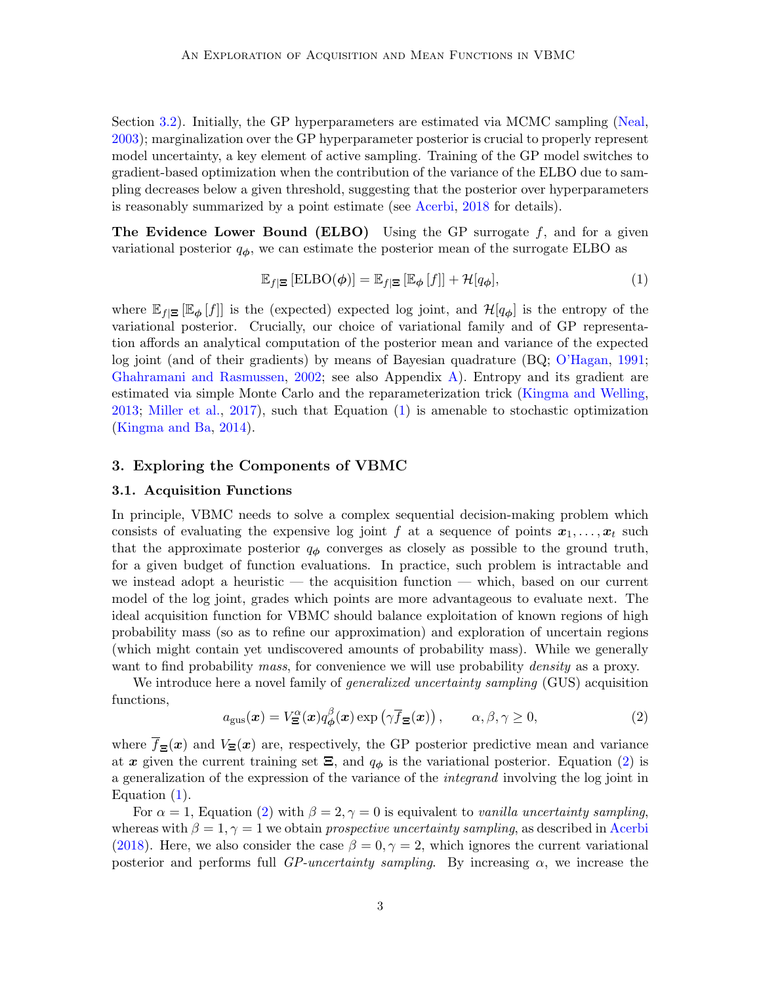Section [3.2\)](#page-3-0). Initially, the GP hyperparameters are estimated via MCMC sampling [\(Neal,](#page-7-8) [2003\)](#page-7-8); marginalization over the GP hyperparameter posterior is crucial to properly represent model uncertainty, a key element of active sampling. Training of the GP model switches to gradient-based optimization when the contribution of the variance of the ELBO due to sampling decreases below a given threshold, suggesting that the posterior over hyperparameters is reasonably summarized by a point estimate (see [Acerbi,](#page-7-0) [2018](#page-7-0) for details).

**The Evidence Lower Bound (ELBO)** Using the GP surrogate  $f$ , and for a given variational posterior  $q_{\phi}$ , we can estimate the posterior mean of the surrogate ELBO as

<span id="page-2-1"></span>
$$
\mathbb{E}_{f|\Xi} \left[ \mathrm{ELBO}(\phi) \right] = \mathbb{E}_{f|\Xi} \left[ \mathbb{E}_{\phi} \left[ f \right] \right] + \mathcal{H}[q_{\phi}], \tag{1}
$$

where  $\mathbb{E}_{f|\Xi} [\mathbb{E}_{\phi}[f]]$  is the (expected) expected log joint, and  $\mathcal{H}[q_{\phi}]$  is the entropy of the variational posterior. Crucially, our choice of variational family and of GP representation affords an analytical computation of the posterior mean and variance of the expected log joint (and of their gradients) by means of Bayesian quadrature (BQ; [O'Hagan,](#page-7-9) [1991;](#page-7-9) [Ghahramani and Rasmussen,](#page-7-5) [2002;](#page-7-5) see also Appendix [A\)](#page-9-1). Entropy and its gradient are estimated via simple Monte Carlo and the reparameterization trick [\(Kingma and Welling,](#page-7-10) [2013;](#page-7-10) [Miller et al.,](#page-7-11) [2017\)](#page-7-11), such that Equation [\(1\)](#page-2-1) is amenable to stochastic optimization [\(Kingma and Ba,](#page-7-12) [2014\)](#page-7-12).

## 3. Exploring the Components of VBMC

#### <span id="page-2-0"></span>3.1. Acquisition Functions

In principle, VBMC needs to solve a complex sequential decision-making problem which consists of evaluating the expensive log joint f at a sequence of points  $x_1, \ldots, x_t$  such that the approximate posterior  $q_{\phi}$  converges as closely as possible to the ground truth, for a given budget of function evaluations. In practice, such problem is intractable and we instead adopt a heuristic — the acquisition function — which, based on our current model of the log joint, grades which points are more advantageous to evaluate next. The ideal acquisition function for VBMC should balance exploitation of known regions of high probability mass (so as to refine our approximation) and exploration of uncertain regions (which might contain yet undiscovered amounts of probability mass). While we generally want to find probability *mass*, for convenience we will use probability *density* as a proxy.

We introduce here a novel family of *generalized uncertainty sampling* (GUS) acquisition functions,

<span id="page-2-2"></span>
$$
a_{\rm gus}(\boldsymbol{x}) = V_{\Xi}^{\alpha}(\boldsymbol{x}) q_{\boldsymbol{\phi}}^{\beta}(\boldsymbol{x}) \exp\left(\gamma \overline{f}_{\Xi}(\boldsymbol{x})\right), \qquad \alpha, \beta, \gamma \ge 0,
$$
\n(2)

where  $\bar{f}_{\Xi}(x)$  and  $V_{\Xi}(x)$  are, respectively, the GP posterior predictive mean and variance at x given the current training set  $\Xi$ , and  $q_{\phi}$  is the variational posterior. Equation [\(2\)](#page-2-2) is a generalization of the expression of the variance of the integrand involving the log joint in Equation [\(1\)](#page-2-1).

For  $\alpha = 1$ , Equation [\(2\)](#page-2-2) with  $\beta = 2, \gamma = 0$  is equivalent to vanilla uncertainty sampling, whereas with  $\beta = 1, \gamma = 1$  we obtain prospective uncertainty sampling, as described in [Acerbi](#page-7-0) [\(2018\)](#page-7-0). Here, we also consider the case  $\beta = 0, \gamma = 2$ , which ignores the current variational posterior and performs full *GP-uncertainty sampling*. By increasing  $\alpha$ , we increase the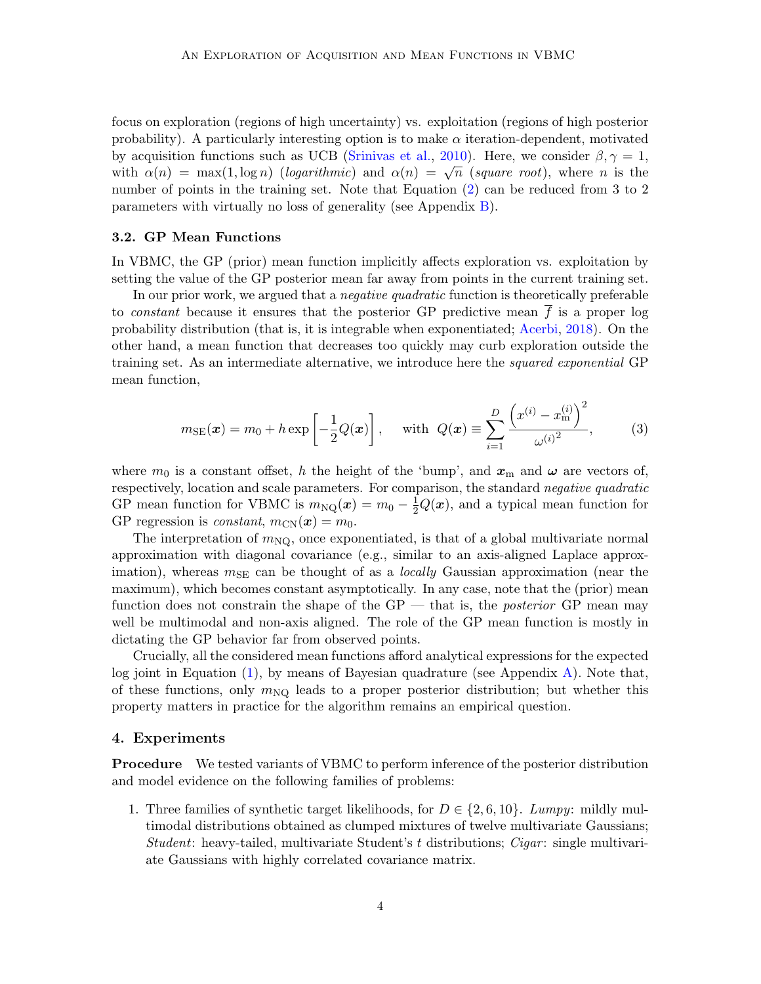focus on exploration (regions of high uncertainty) vs. exploitation (regions of high posterior probability). A particularly interesting option is to make  $\alpha$  iteration-dependent, motivated by acquisition functions such as UCB [\(Srinivas et al.,](#page-8-5) [2010\)](#page-8-5). Here, we consider  $\beta, \gamma = 1$ , by acquisition functions such as  $\overline{OCD}$  (similar et al., 2010). Here, we consider  $p, \gamma = 1$ ,<br>with  $\alpha(n) = \max(1, \log n)$  (logarithmic) and  $\alpha(n) = \sqrt{n}$  (square root), where n is the number of points in the training set. Note that Equation [\(2\)](#page-2-2) can be reduced from 3 to 2 parameters with virtually no loss of generality (see Appendix [B\)](#page-9-2).

#### <span id="page-3-0"></span>3.2. GP Mean Functions

In VBMC, the GP (prior) mean function implicitly affects exploration vs. exploitation by setting the value of the GP posterior mean far away from points in the current training set.

In our prior work, we argued that a *negative quadratic* function is theoretically preferable to *constant* because it ensures that the posterior GP predictive mean  $f$  is a proper log probability distribution (that is, it is integrable when exponentiated; [Acerbi,](#page-7-0) [2018\)](#page-7-0). On the other hand, a mean function that decreases too quickly may curb exploration outside the training set. As an intermediate alternative, we introduce here the squared exponential GP mean function,

$$
m_{\text{SE}}(\boldsymbol{x}) = m_0 + h \exp\left[-\frac{1}{2}Q(\boldsymbol{x})\right], \text{ with } Q(\boldsymbol{x}) \equiv \sum_{i=1}^{D} \frac{\left(x^{(i)} - x_{\text{m}}^{(i)}\right)^2}{\omega^{(i)^2}},
$$
 (3)

where  $m_0$  is a constant offset, h the height of the 'bump', and  $x_m$  and  $\omega$  are vectors of, respectively, location and scale parameters. For comparison, the standard negative quadratic GP mean function for VBMC is  $m_{\text{NQ}}(x) = m_0 - \frac{1}{2}Q(x)$ , and a typical mean function for GP regression is *constant*,  $m_{CN}(\boldsymbol{x}) = m_0$ .

The interpretation of  $m_{\text{NQ}}$ , once exponentiated, is that of a global multivariate normal approximation with diagonal covariance (e.g., similar to an axis-aligned Laplace approximation), whereas  $m_{\text{SE}}$  can be thought of as a *locally* Gaussian approximation (near the maximum), which becomes constant asymptotically. In any case, note that the (prior) mean function does not constrain the shape of the  $GP$  — that is, the *posterior*  $GP$  mean may well be multimodal and non-axis aligned. The role of the GP mean function is mostly in dictating the GP behavior far from observed points.

Crucially, all the considered mean functions afford analytical expressions for the expected log joint in Equation [\(1\)](#page-2-1), by means of Bayesian quadrature (see Appendix [A\)](#page-9-1). Note that, of these functions, only  $m_{NQ}$  leads to a proper posterior distribution; but whether this property matters in practice for the algorithm remains an empirical question.

# <span id="page-3-1"></span>4. Experiments

Procedure We tested variants of VBMC to perform inference of the posterior distribution and model evidence on the following families of problems:

1. Three families of synthetic target likelihoods, for  $D \in \{2, 6, 10\}$ . Lumpy: mildly multimodal distributions obtained as clumped mixtures of twelve multivariate Gaussians; Student: heavy-tailed, multivariate Student's t distributions;  $Cigar$ : single multivariate Gaussians with highly correlated covariance matrix.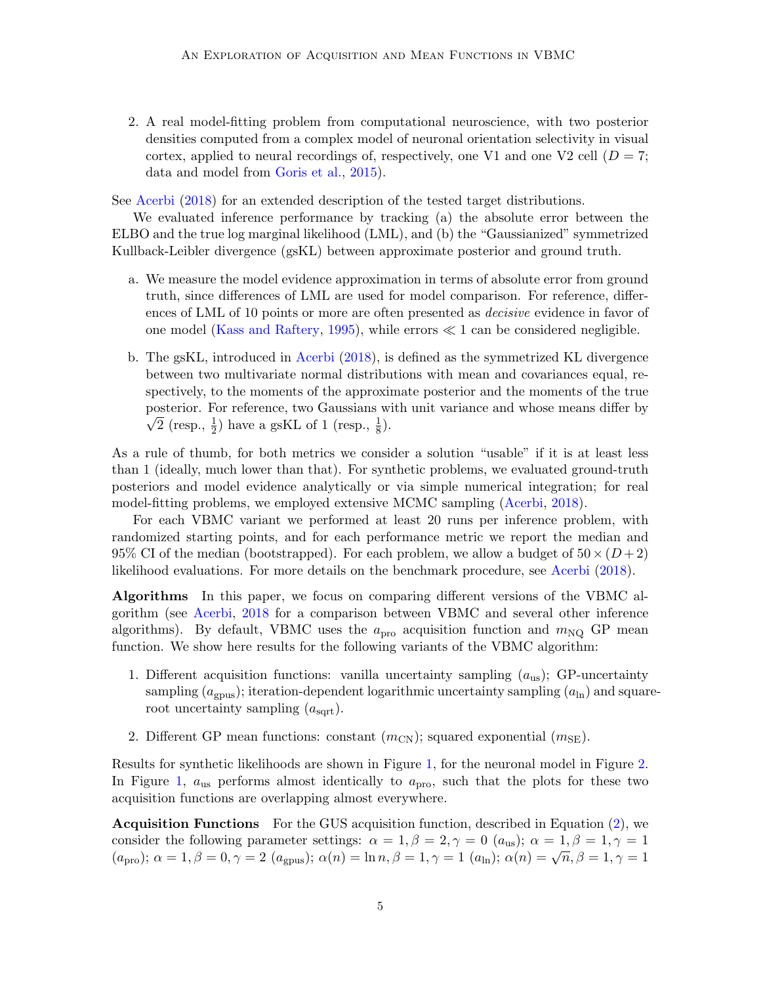2. A real model-fitting problem from computational neuroscience, with two posterior densities computed from a complex model of neuronal orientation selectivity in visual cortex, applied to neural recordings of, respectively, one V1 and one V2 cell ( $D = 7$ ; data and model from [Goris et al.,](#page-7-13) [2015\)](#page-7-13).

See [Acerbi](#page-7-0) [\(2018\)](#page-7-0) for an extended description of the tested target distributions.

We evaluated inference performance by tracking (a) the absolute error between the ELBO and the true log marginal likelihood (LML), and (b) the "Gaussianized" symmetrized Kullback-Leibler divergence (gsKL) between approximate posterior and ground truth.

- a. We measure the model evidence approximation in terms of absolute error from ground truth, since differences of LML are used for model comparison. For reference, differences of LML of 10 points or more are often presented as decisive evidence in favor of one model [\(Kass and Raftery,](#page-7-14) [1995\)](#page-7-14), while errors  $\ll 1$  can be considered negligible.
- b. The gsKL, introduced in [Acerbi](#page-7-0) [\(2018\)](#page-7-0), is defined as the symmetrized KL divergence between two multivariate normal distributions with mean and covariances equal, respectively, to the moments of the approximate posterior and the moments of the true posterior. For reference, two Gaussians with unit variance and whose means differ by  $\overline{2}$  (resp.,  $\frac{1}{2}$ ) have a gsKL of 1 (resp.,  $\frac{1}{8}$ ).

As a rule of thumb, for both metrics we consider a solution "usable" if it is at least less than 1 (ideally, much lower than that). For synthetic problems, we evaluated ground-truth posteriors and model evidence analytically or via simple numerical integration; for real model-fitting problems, we employed extensive MCMC sampling [\(Acerbi,](#page-7-0) [2018\)](#page-7-0).

For each VBMC variant we performed at least 20 runs per inference problem, with randomized starting points, and for each performance metric we report the median and 95% CI of the median (bootstrapped). For each problem, we allow a budget of  $50 \times (D+2)$ likelihood evaluations. For more details on the benchmark procedure, see [Acerbi](#page-7-0) [\(2018\)](#page-7-0).

Algorithms In this paper, we focus on comparing different versions of the VBMC algorithm (see [Acerbi,](#page-7-0) [2018](#page-7-0) for a comparison between VBMC and several other inference algorithms). By default, VBMC uses the  $a_{\text{pro}}$  acquisition function and  $m_{\text{NQ}}$  GP mean function. We show here results for the following variants of the VBMC algorithm:

- 1. Different acquisition functions: vanilla uncertainty sampling  $(a_{us})$ ; GP-uncertainty sampling  $(a_{\text{gpus}})$ ; iteration-dependent logarithmic uncertainty sampling  $(a_{\text{ln}})$  and squareroot uncertainty sampling  $(a<sub>sqrt</sub>)$ .
- 2. Different GP mean functions: constant  $(m_{CN})$ ; squared exponential  $(m_{SE})$ .

Results for synthetic likelihoods are shown in Figure [1,](#page-5-0) for the neuronal model in Figure [2.](#page-5-1) In Figure [1,](#page-5-0)  $a_{\text{us}}$  performs almost identically to  $a_{\text{pro}}$ , such that the plots for these two acquisition functions are overlapping almost everywhere.

Acquisition Functions For the GUS acquisition function, described in Equation [\(2\)](#page-2-2), we consider the following parameter settings:  $\alpha = 1, \beta = 2, \gamma = 0$  ( $a_{\text{us}}$ );  $\alpha = 1, \beta = 1, \gamma = 1$ (apro);  $\alpha = 1, \beta = 0, \gamma = 2$  (agpus);  $\alpha(n) = \ln n, \beta = 1, \gamma = 1$  (a<sub>ln</sub>);  $\alpha(n) = \sqrt{n}, \beta = 1, \gamma = 1$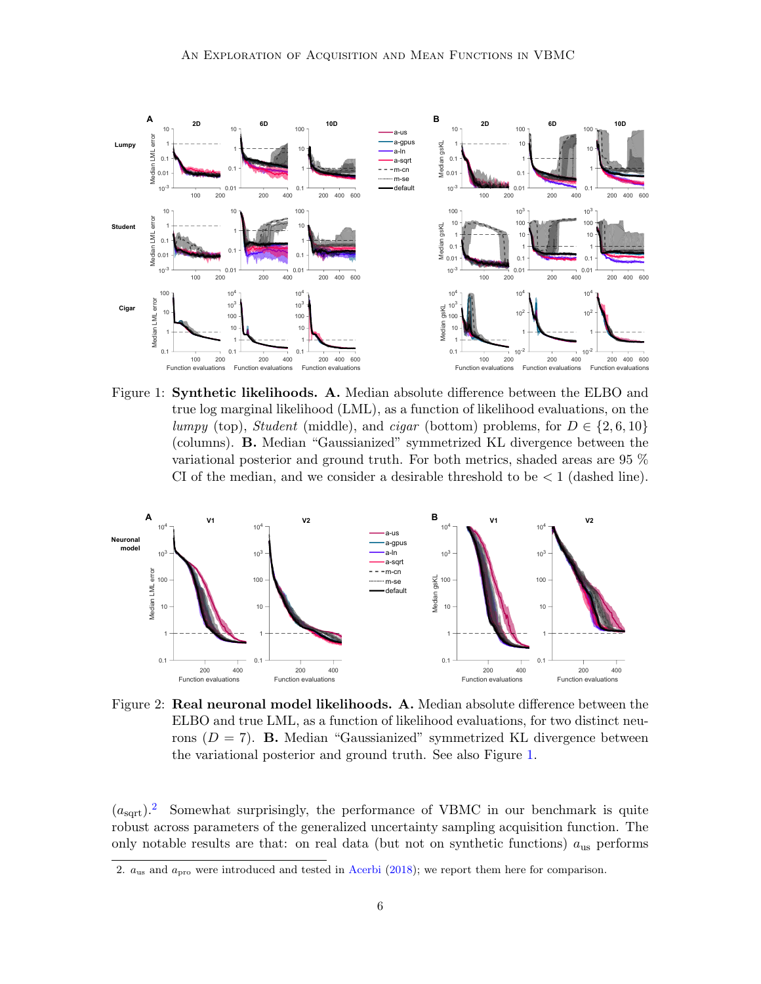

<span id="page-5-0"></span>Figure 1: Synthetic likelihoods. A. Median absolute difference between the ELBO and true log marginal likelihood (LML), as a function of likelihood evaluations, on the lumpy (top), Student (middle), and cigar (bottom) problems, for  $D \in \{2, 6, 10\}$ (columns). B. Median "Gaussianized" symmetrized KL divergence between the variational posterior and ground truth. For both metrics, shaded areas are 95 % CI of the median, and we consider a desirable threshold to be  $\lt 1$  (dashed line).



<span id="page-5-1"></span>Figure 2: Real neuronal model likelihoods. A. Median absolute difference between the ELBO and true LML, as a function of likelihood evaluations, for two distinct neurons  $(D = 7)$ . **B.** Median "Gaussianized" symmetrized KL divergence between the variational posterior and ground truth. See also Figure [1.](#page-5-0)

 $(a<sub>sort</sub>)$ <sup>[2](#page-5-2)</sup> Somewhat surprisingly, the performance of VBMC in our benchmark is quite robust across parameters of the generalized uncertainty sampling acquisition function. The only notable results are that: on real data (but not on synthetic functions)  $a_{\text{us}}$  performs

<span id="page-5-2"></span><sup>2.</sup>  $a_{\text{us}}$  and  $a_{\text{pro}}$  were introduced and tested in [Acerbi](#page-7-0) [\(2018\)](#page-7-0); we report them here for comparison.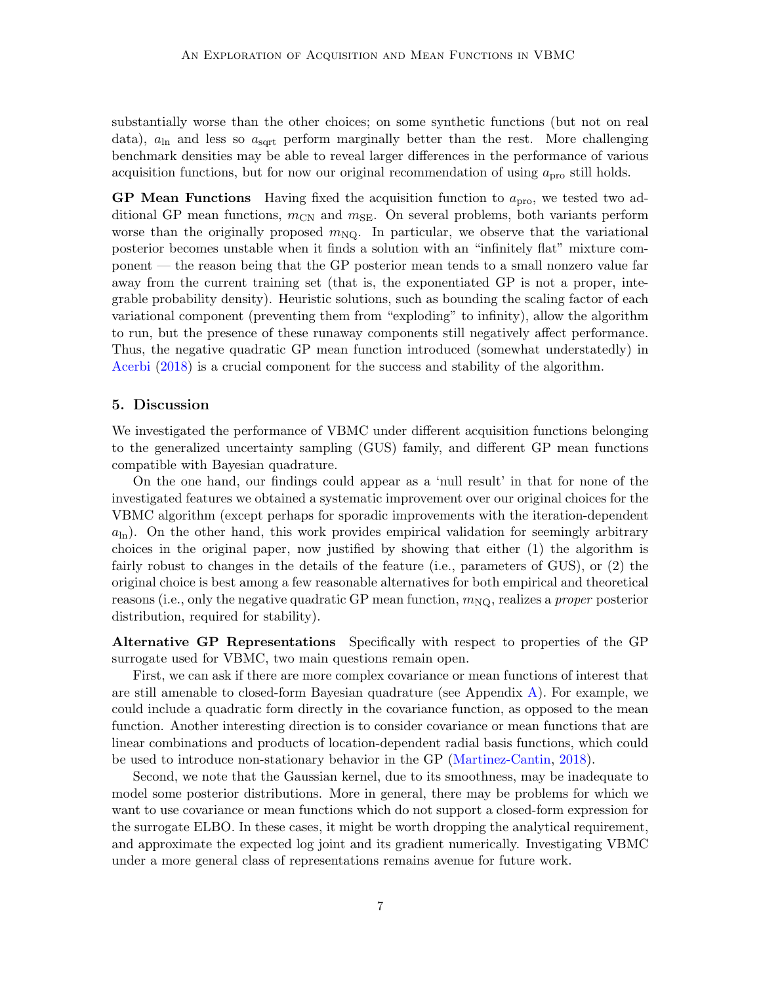substantially worse than the other choices; on some synthetic functions (but not on real data),  $a_{\text{ln}}$  and less so  $a_{\text{sqrt}}$  perform marginally better than the rest. More challenging benchmark densities may be able to reveal larger differences in the performance of various acquisition functions, but for now our original recommendation of using  $a_{\text{pro}}$  still holds.

**GP** Mean Functions Having fixed the acquisition function to  $a_{\text{pro}}$ , we tested two additional GP mean functions,  $m_{CN}$  and  $m_{SE}$ . On several problems, both variants perform worse than the originally proposed  $m_{\text{NQ}}$ . In particular, we observe that the variational posterior becomes unstable when it finds a solution with an "infinitely flat" mixture component — the reason being that the GP posterior mean tends to a small nonzero value far away from the current training set (that is, the exponentiated GP is not a proper, integrable probability density). Heuristic solutions, such as bounding the scaling factor of each variational component (preventing them from "exploding" to infinity), allow the algorithm to run, but the presence of these runaway components still negatively affect performance. Thus, the negative quadratic GP mean function introduced (somewhat understatedly) in [Acerbi](#page-7-0) [\(2018\)](#page-7-0) is a crucial component for the success and stability of the algorithm.

## <span id="page-6-0"></span>5. Discussion

We investigated the performance of VBMC under different acquisition functions belonging to the generalized uncertainty sampling (GUS) family, and different GP mean functions compatible with Bayesian quadrature.

On the one hand, our findings could appear as a 'null result' in that for none of the investigated features we obtained a systematic improvement over our original choices for the VBMC algorithm (except perhaps for sporadic improvements with the iteration-dependent  $a_{\rm ln}$ ). On the other hand, this work provides empirical validation for seemingly arbitrary choices in the original paper, now justified by showing that either (1) the algorithm is fairly robust to changes in the details of the feature (i.e., parameters of GUS), or (2) the original choice is best among a few reasonable alternatives for both empirical and theoretical reasons (i.e., only the negative quadratic GP mean function,  $m_{\text{NO}}$ , realizes a *proper* posterior distribution, required for stability).

Alternative GP Representations Specifically with respect to properties of the GP surrogate used for VBMC, two main questions remain open.

First, we can ask if there are more complex covariance or mean functions of interest that are still amenable to closed-form Bayesian quadrature (see Appendix  $\bf{A}$ ). For example, we could include a quadratic form directly in the covariance function, as opposed to the mean function. Another interesting direction is to consider covariance or mean functions that are linear combinations and products of location-dependent radial basis functions, which could be used to introduce non-stationary behavior in the GP [\(Martinez-Cantin,](#page-7-15) [2018\)](#page-7-15).

Second, we note that the Gaussian kernel, due to its smoothness, may be inadequate to model some posterior distributions. More in general, there may be problems for which we want to use covariance or mean functions which do not support a closed-form expression for the surrogate ELBO. In these cases, it might be worth dropping the analytical requirement, and approximate the expected log joint and its gradient numerically. Investigating VBMC under a more general class of representations remains avenue for future work.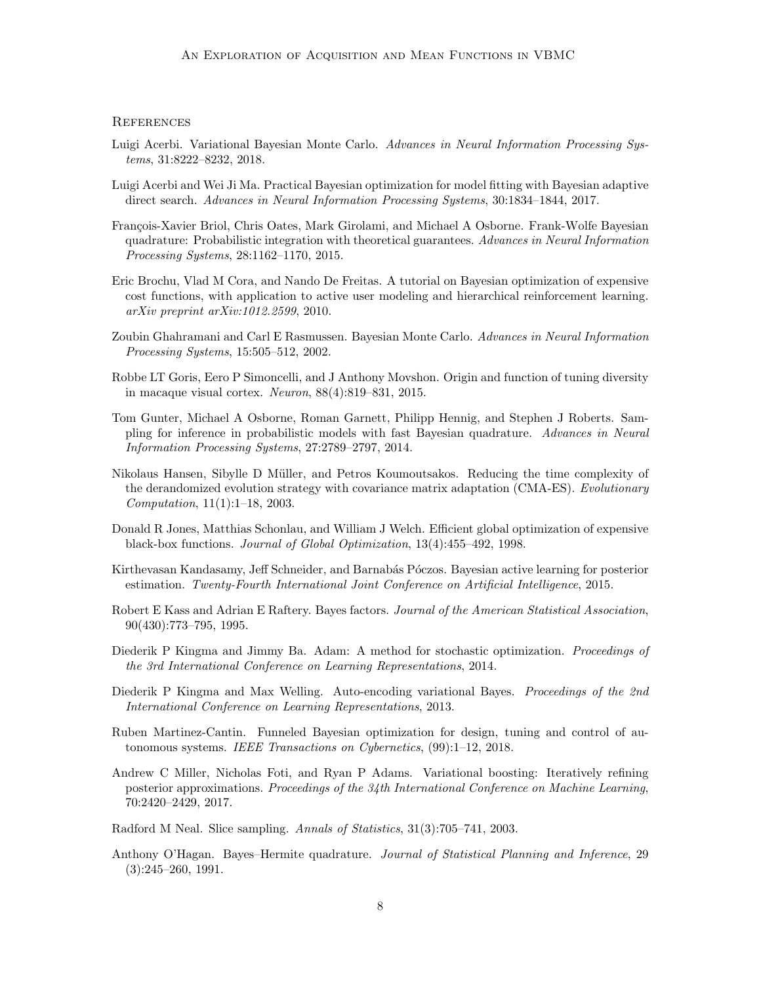#### **REFERENCES**

- <span id="page-7-0"></span>Luigi Acerbi. Variational Bayesian Monte Carlo. Advances in Neural Information Processing Systems, 31:8222–8232, 2018.
- <span id="page-7-3"></span>Luigi Acerbi and Wei Ji Ma. Practical Bayesian optimization for model fitting with Bayesian adaptive direct search. Advances in Neural Information Processing Systems, 30:1834–1844, 2017.
- <span id="page-7-7"></span>François-Xavier Briol, Chris Oates, Mark Girolami, and Michael A Osborne. Frank-Wolfe Bayesian quadrature: Probabilistic integration with theoretical guarantees. Advances in Neural Information Processing Systems, 28:1162–1170, 2015.
- <span id="page-7-2"></span>Eric Brochu, Vlad M Cora, and Nando De Freitas. A tutorial on Bayesian optimization of expensive cost functions, with application to active user modeling and hierarchical reinforcement learning. arXiv preprint arXiv:1012.2599, 2010.
- <span id="page-7-5"></span>Zoubin Ghahramani and Carl E Rasmussen. Bayesian Monte Carlo. Advances in Neural Information Processing Systems, 15:505–512, 2002.
- <span id="page-7-13"></span>Robbe LT Goris, Eero P Simoncelli, and J Anthony Movshon. Origin and function of tuning diversity in macaque visual cortex. Neuron, 88(4):819–831, 2015.
- <span id="page-7-6"></span>Tom Gunter, Michael A Osborne, Roman Garnett, Philipp Hennig, and Stephen J Roberts. Sampling for inference in probabilistic models with fast Bayesian quadrature. Advances in Neural Information Processing Systems, 27:2789–2797, 2014.
- <span id="page-7-16"></span>Nikolaus Hansen, Sibylle D Müller, and Petros Koumoutsakos. Reducing the time complexity of the derandomized evolution strategy with covariance matrix adaptation (CMA-ES). Evolutionary Computation, 11(1):1–18, 2003.
- <span id="page-7-1"></span>Donald R Jones, Matthias Schonlau, and William J Welch. Efficient global optimization of expensive black-box functions. Journal of Global Optimization, 13(4):455–492, 1998.
- <span id="page-7-4"></span>Kirthevasan Kandasamy, Jeff Schneider, and Barnabás Póczos. Bayesian active learning for posterior estimation. Twenty-Fourth International Joint Conference on Artificial Intelligence, 2015.
- <span id="page-7-14"></span>Robert E Kass and Adrian E Raftery. Bayes factors. Journal of the American Statistical Association, 90(430):773–795, 1995.
- <span id="page-7-12"></span>Diederik P Kingma and Jimmy Ba. Adam: A method for stochastic optimization. Proceedings of the 3rd International Conference on Learning Representations, 2014.
- <span id="page-7-10"></span>Diederik P Kingma and Max Welling. Auto-encoding variational Bayes. Proceedings of the 2nd International Conference on Learning Representations, 2013.
- <span id="page-7-15"></span>Ruben Martinez-Cantin. Funneled Bayesian optimization for design, tuning and control of autonomous systems. IEEE Transactions on Cybernetics, (99):1–12, 2018.
- <span id="page-7-11"></span>Andrew C Miller, Nicholas Foti, and Ryan P Adams. Variational boosting: Iteratively refining posterior approximations. Proceedings of the 34th International Conference on Machine Learning, 70:2420–2429, 2017.
- <span id="page-7-8"></span>Radford M Neal. Slice sampling. Annals of Statistics, 31(3):705–741, 2003.
- <span id="page-7-9"></span>Anthony O'Hagan. Bayes–Hermite quadrature. Journal of Statistical Planning and Inference, 29 (3):245–260, 1991.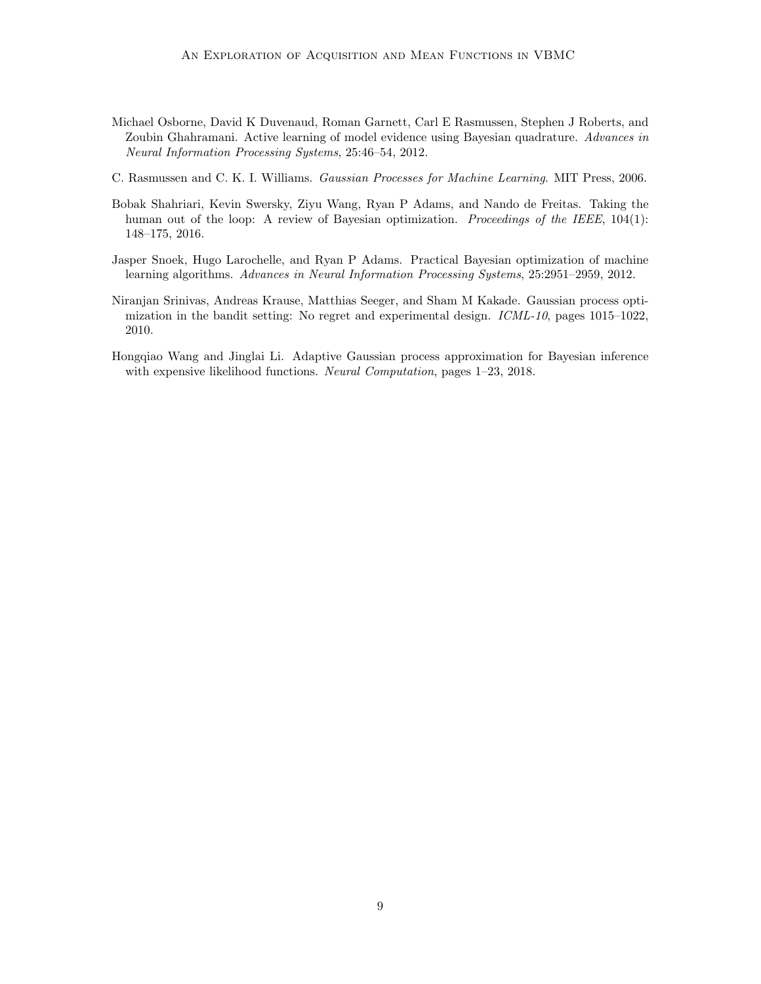- <span id="page-8-4"></span>Michael Osborne, David K Duvenaud, Roman Garnett, Carl E Rasmussen, Stephen J Roberts, and Zoubin Ghahramani. Active learning of model evidence using Bayesian quadrature. Advances in Neural Information Processing Systems, 25:46–54, 2012.
- <span id="page-8-0"></span>C. Rasmussen and C. K. I. Williams. Gaussian Processes for Machine Learning. MIT Press, 2006.
- <span id="page-8-2"></span>Bobak Shahriari, Kevin Swersky, Ziyu Wang, Ryan P Adams, and Nando de Freitas. Taking the human out of the loop: A review of Bayesian optimization. Proceedings of the IEEE, 104(1): 148–175, 2016.
- <span id="page-8-1"></span>Jasper Snoek, Hugo Larochelle, and Ryan P Adams. Practical Bayesian optimization of machine learning algorithms. Advances in Neural Information Processing Systems, 25:2951–2959, 2012.
- <span id="page-8-5"></span>Niranjan Srinivas, Andreas Krause, Matthias Seeger, and Sham M Kakade. Gaussian process optimization in the bandit setting: No regret and experimental design. ICML-10, pages 1015–1022, 2010.
- <span id="page-8-3"></span>Hongqiao Wang and Jinglai Li. Adaptive Gaussian process approximation for Bayesian inference with expensive likelihood functions. Neural Computation, pages 1–23, 2018.